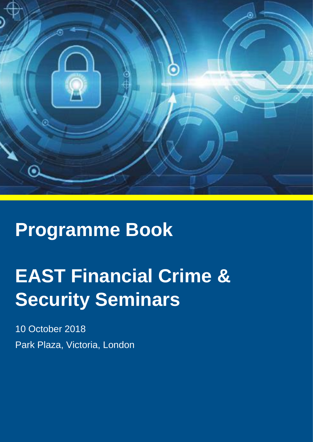

# **Programme Book**

# **EAST Financial Crime & Security Seminars**

10 October 2018 Park Plaza, Victoria, London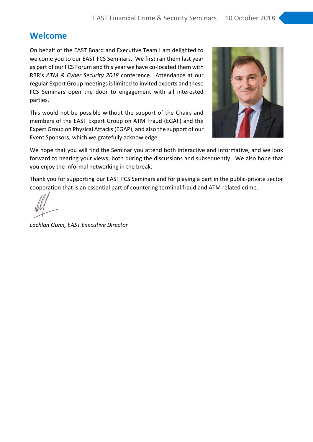# **Welcome**

On behalf of the EAST Board and Executive Team I am delighted to welcome you to our EAST FCS Seminars. We first ran them last year as part of our FCS Forum and this year we have co-located them with RBR's *ATM & Cyber Security 2018* conference. Attendance at our regular Expert Group meetings is limited to invited experts and these FCS Seminars open the door to engagement with all interested parties.

This would not be possible without the support of the Chairs and members of the EAST Expert Group on ATM Fraud (EGAF) and the Expert Group on Physical Attacks (EGAP), and also the support of our Event Sponsors, which we gratefully acknowledge.



We hope that you will find the Seminar you attend both interactive and informative, and we look forward to hearing your views, both during the discussions and subsequently. We also hope that you enjoy the informal networking in the break.

Thank you for supporting our EAST FCS Seminars and for playing a part in the public-private sector cooperation that is an essential part of countering terminal fraud and ATM related crime.

*Lachlan Gunn, EAST Executive Director*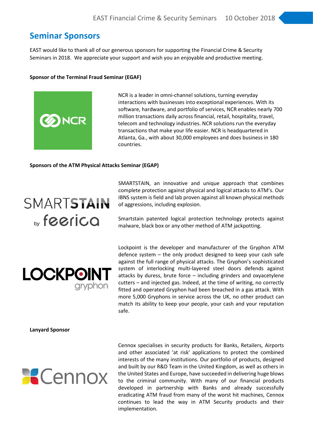# **Seminar Sponsors**

EAST would like to thank all of our generous sponsors for supporting the Financial Crime & Security Seminars in 2018. We appreciate your support and wish you an enjoyable and productive meeting.

#### **Sponsor of the Terminal Fraud Seminar (EGAF)**



NCR is a leader in omni-channel solutions, turning everyday interactions with businesses into exceptional experiences. With its software, hardware, and portfolio of services, NCR enables nearly 700 million transactions daily across financial, retail, hospitality, travel, telecom and technology industries. NCR solutions run the everyday transactions that make your life easier. NCR is headquartered in Atlanta, Ga., with about 30,000 employees and does business in 180 countries.

#### **Sponsors of the ATM Physical Attacks Seminar (EGAP)**

SMARTSTAIN **Ly** feerica



Smartstain patented logical protection technology protects against malware, black box or any other method of ATM jackpotting.



Lockpoint is the developer and manufacturer of the Gryphon ATM defence system – the only product designed to keep your cash safe against the full range of physical attacks. The Gryphon's sophisticated system of interlocking multi-layered steel doors defends against attacks by duress, brute force – including grinders and oxyacetylene cutters – and injected gas. Indeed, at the time of writing, no correctly fitted and operated Gryphon had been breached in a gas attack. With more 5,000 Gryphons in service across the UK, no other product can match its ability to keep your people, your cash and your reputation safe.

**Lanyard Sponsor**



Cennox specialises in security products for Banks, Retailers, Airports and other associated 'at risk' applications to protect the combined interests of the many institutions. Our portfolio of products, designed and built by our R&D Team in the United Kingdom, as well as others in the United States and Europe, have succeeded in delivering huge blows to the criminal community. With many of our financial products developed in partnership with Banks and already successfully eradicating ATM fraud from many of the worst hit machines, Cennox continues to lead the way in ATM Security products and their implementation.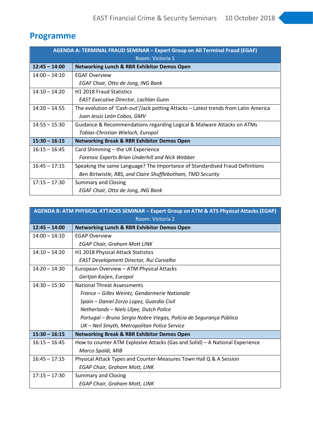# **Programme**

| AGENDA A: TERMINAL FRAUD SEMINAR - Expert Group on All Terminal Fraud (EGAF) |                                                                                     |  |
|------------------------------------------------------------------------------|-------------------------------------------------------------------------------------|--|
| Room: Victoria 1                                                             |                                                                                     |  |
| $12:45 - 14:00$                                                              | <b>Networking Lunch &amp; RBR Exhibitor Demos Open</b>                              |  |
| $14:00 - 14:10$                                                              | <b>EGAF Overview</b>                                                                |  |
|                                                                              | EGAF Chair, Otto de Jong, ING Bank                                                  |  |
| $14:10 - 14:20$                                                              | H1 2018 Fraud Statistics                                                            |  |
|                                                                              | <b>EAST Executive Director, Lachlan Gunn</b>                                        |  |
| $14:20 - 14:55$                                                              | The evolution of 'Cash-out'/Jack potting Attacks – Latest trends from Latin America |  |
|                                                                              | Juan Jesús León Cobos, GMV                                                          |  |
| $14:55 - 15:30$                                                              | Guidance & Recommendations regarding Logical & Malware Attacks on ATMs              |  |
|                                                                              | Tobias-Christian Wieloch, Europol                                                   |  |
| $15:30 - 16:15$                                                              | <b>Networking Break &amp; RBR Exhibitor Demos Open</b>                              |  |
| $16:15 - 16:45$                                                              | Card Shimming - the UK Experience                                                   |  |
|                                                                              | Forensic Experts Brian Underhill and Nick Webber                                    |  |
| $16:45 - 17:15$                                                              | Speaking the same Language? The Importance of Standardised Fraud Definitions        |  |
|                                                                              | Ben Birtwistle, RBS, and Claire Shufflebotham, TMD Security                         |  |
| $17:15 - 17:30$                                                              | <b>Summary and Closing</b>                                                          |  |
|                                                                              | EGAF Chair, Otto de Jong, ING Bank                                                  |  |

| AGENDA B: ATM PHYSICAL ATTACKS SEMINAR - Expert Group on ATM & ATS Physical Attacks (EGAP) |                                                                              |  |
|--------------------------------------------------------------------------------------------|------------------------------------------------------------------------------|--|
| Room: Victoria 2                                                                           |                                                                              |  |
| $12:45 - 14:00$                                                                            | <b>Networking Lunch &amp; RBR Exhibitor Demos Open</b>                       |  |
| $14:00 - 14:10$                                                                            | <b>EGAP Overview</b>                                                         |  |
|                                                                                            | <b>EGAP Chair, Graham Mott LINK</b>                                          |  |
| $14:10 - 14:20$                                                                            | H1 2018 Physical Attack Statistics                                           |  |
|                                                                                            | EAST Development Director, Rui Carvalho                                      |  |
| $14:20 - 14:30$                                                                            | European Overview - ATM Physical Attacks                                     |  |
|                                                                                            | Gertjan Kaijen, Europol                                                      |  |
| $14:30 - 15:30$                                                                            | <b>National Threat Assessments</b>                                           |  |
|                                                                                            | France - Gilles Weintz, Gendarmerie Nationale                                |  |
|                                                                                            | Spain - Daniel Zorzo Lopez, Guardia Civil                                    |  |
|                                                                                            | Netherlands - Niels Uljee, Dutch Police                                      |  |
|                                                                                            | Portugal – Bruno Sergio Nobre Viegas, Polícia de Segurança Pública           |  |
|                                                                                            | UK - Neil Smyth, Metropolitan Police Service                                 |  |
| $15:30 - 16:15$                                                                            | <b>Networking Break &amp; RBR Exhibitor Demos Open</b>                       |  |
| $16:15 - 16:45$                                                                            | How to counter ATM Explosive Attacks (Gas and Solid) - A National Experience |  |
|                                                                                            | Marco Spoldi, MIB                                                            |  |
| $16:45 - 17:15$                                                                            | Physical Attack Types and Counter-Measures Town Hall Q & A Session           |  |
|                                                                                            | EGAP Chair, Graham Mott, LINK                                                |  |
| $17:15 - 17:30$                                                                            | <b>Summary and Closing</b>                                                   |  |
|                                                                                            | EGAP Chair, Graham Mott, LINK                                                |  |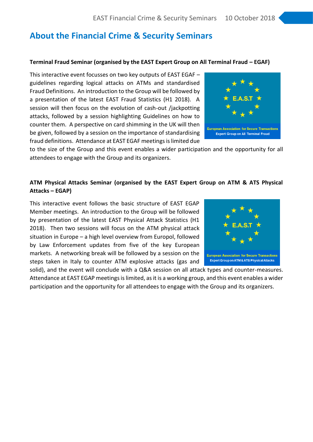# **About the Financial Crime & Security Seminars**

#### **Terminal Fraud Seminar (organised by the EAST Expert Group on All Terminal Fraud – EGAF)**

This interactive event focusses on two key outputs of EAST EGAF – guidelines regarding logical attacks on ATMs and standardised Fraud Definitions. An introduction to the Group will be followed by a presentation of the latest EAST Fraud Statistics (H1 2018). A session will then focus on the evolution of cash-out /jackpotting attacks, followed by a session highlighting Guidelines on how to counter them. A perspective on card shimming in the UK will then be given, followed by a session on the importance of standardising fraud definitions. Attendance at EAST EGAF meetings is limited due



to the size of the Group and this event enables a wider participation and the opportunity for all attendees to engage with the Group and its organizers.

## **ATM Physical Attacks Seminar (organised by the EAST Expert Group on ATM & ATS Physical Attacks – EGAP)**

This interactive event follows the basic structure of EAST EGAP Member meetings. An introduction to the Group will be followed by presentation of the latest EAST Physical Attack Statistics (H1 2018). Then two sessions will focus on the ATM physical attack situation in Europe – a high level overview from Europol, followed by Law Enforcement updates from five of the key European markets. A networking break will be followed by a session on the steps taken in Italy to counter ATM explosive attacks (gas and



solid), and the event will conclude with a Q&A session on all attack types and counter-measures. Attendance at EAST EGAP meetings is limited, as it is a working group, and this event enables a wider participation and the opportunity for all attendees to engage with the Group and its organizers.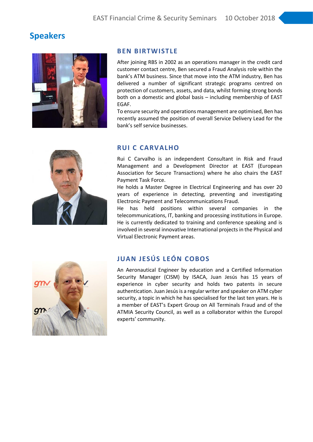# **Speakers**



#### **BEN BIRTWISTLE**

After joining RBS in 2002 as an operations manager in the credit card customer contact centre, Ben secured a Fraud Analysis role within the bank's ATM business. Since that move into the ATM industry, Ben has delivered a number of significant strategic programs centred on protection of customers, assets, and data, whilst forming strong bonds both on a domestic and global basis – including membership of EAST EGAF.

To ensure security and operations management are optimised, Ben has recently assumed the position of overall Service Delivery Lead for the bank's self service businesses.



### **RUI C CARVALHO**

Rui C Carvalho is an independent Consultant in Risk and Fraud Management and a Development Director at EAST (European Association for Secure Transactions) where he also chairs the EAST Payment Task Force.

He holds a Master Degree in Electrical Engineering and has over 20 years of experience in detecting, preventing and investigating Electronic Payment and Telecommunications Fraud.

He has held positions within several companies in the telecommunications, IT, banking and processing institutions in Europe. He is currently dedicated to training and conference speaking and is involved in several innovative International projects in the Physical and Virtual Electronic Payment areas.



# **JUAN JESÚS LEÓN COBOS**

An Aeronautical Engineer by education and a Certified Information Security Manager (CISM) by ISACA, Juan Jesús has 15 years of experience in cyber security and holds two patents in secure authentication. Juan Jesús is a regular writer and speaker on ATM cyber security, a topic in which he has specialised for the last ten years. He is a member of EAST's Expert Group on All Terminals Fraud and of the ATMIA Security Council, as well as a collaborator within the Europol experts' community.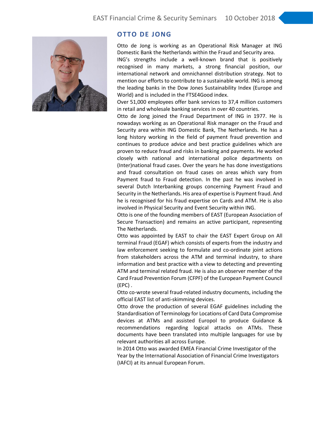

### **OTTO DE JONG**

Otto de Jong is working as an Operational Risk Manager at ING Domestic Bank the Netherlands within the Fraud and Security area.

ING's strengths include a well-known brand that is positively recognised in many markets, a strong financial position, our international network and omnichannel distribution strategy. Not to mention our efforts to contribute to a sustainable world. ING is among the leading banks in the Dow Jones Sustainability Index (Europe and World) and is included in the FTSE4Good index.

Over 51,000 employees offer bank services to 37,4 million customers in retail and wholesale banking services in over 40 countries.

Otto de Jong joined the Fraud Department of ING in 1977. He is nowadays working as an Operational Risk manager on the Fraud and Security area within ING Domestic Bank, The Netherlands. He has a long history working in the field of payment fraud prevention and continues to produce advice and best practice guidelines which are proven to reduce fraud and risks in banking and payments. He worked closely with national and international police departments on (Inter)national fraud cases. Over the years he has done investigations and fraud consultation on fraud cases on areas which vary from Payment fraud to Fraud detection. In the past he was involved in several Dutch Interbanking groups concerning Payment Fraud and Security in the Netherlands. His area of expertise is Payment fraud. And he is recognised for his fraud expertise on Cards and ATM. He is also involved in Physical Security and Event Security within ING.

Otto is one of the founding members of EAST (European Association of Secure Transaction) and remains an active participant, representing The Netherlands.

Otto was appointed by EAST to chair the EAST Expert Group on All terminal Fraud (EGAF) which consists of experts from the industry and law enforcement seeking to formulate and co-ordinate joint actions from stakeholders across the ATM and terminal industry, to share information and best practice with a view to detecting and preventing ATM and terminal related fraud. He is also an observer member of the Card Fraud Prevention Forum (CFPF) of the European Payment Council (EPC) .

Otto co-wrote several fraud-related industry documents, including the official EAST list of anti-skimming devices.

Otto drove the production of several EGAF guidelines including the Standardisation of Terminology for Locations of Card Data Compromise devices at ATMs and assisted Europol to produce Guidance & recommendations regarding logical attacks on ATMs. These documents have been translated into multiple languages for use by relevant authorities all across Europe.

In 2014 Otto was awarded EMEA Financial Crime Investigator of the Year by the International Association of Financial Crime Investigators (IAFCI) at its annual European Forum.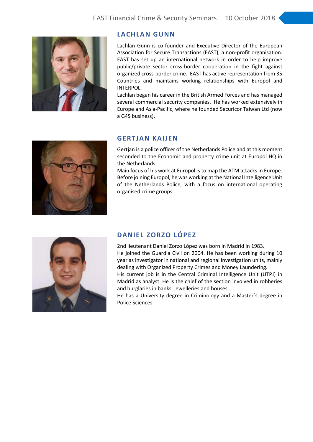

# **LACHLAN GUNN**

Lachlan Gunn is co-founder and Executive Director of the European Association for Secure Transactions (EAST), a non-profit organisation. EAST has set up an international network in order to help improve public/private sector cross-border cooperation in the fight against organized cross-border crime. EAST has active representation from 35 Countries and maintains working relationships with Europol and INTERPOL.

Lachlan began his career in the British Armed Forces and has managed several commercial security companies. He has worked extensively in Europe and Asia-Pacific, where he founded Securicor Taiwan Ltd (now a G4S business).



### **GERTJAN KAIJEN**

Gertjan is a police officer of the Netherlands Police and at this moment seconded to the Economic and property crime unit at Europol HQ in the Netherlands.

Main focus of his work at Europol is to map the ATM attacks in Europe. Before joining Europol, he was working at the National Intelligence Unit of the Netherlands Police, with a focus on international operating organised crime groups.



# **DANIEL ZORZO LÓPEZ**

2nd lieutenant Daniel Zorzo López was born in Madrid in 1983. He joined the Guardia Civil on 2004. He has been working during 10 year as investigator in national and regional investigation units, mainly dealing with Organized Property Crimes and Money Laundering. His current job is in the Central Criminal Intelligence Unit (UTPJ) in Madrid as analyst. He is the chief of the section involved in robberies

and burglaries in banks, jewelleries and houses.

He has a University degree in Criminology and a Master´s degree in Police Sciences.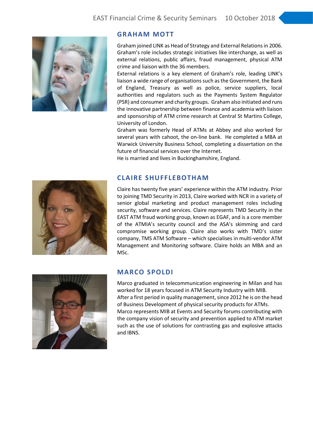

# **GRAHAM MOTT**

Graham joined LINK as Head of Strategy and External Relations in 2006. Graham's role includes strategic initiatives like interchange, as well as external relations, public affairs, fraud management, physical ATM crime and liaison with the 36 members.

External relations is a key element of Graham's role, leading LINK's liaison a wide range of organisations such as the Government, the Bank of England, Treasury as well as police, service suppliers, local authorities and regulators such as the Payments System Regulator (PSR) and consumer and charity groups. Graham also initiated and runs the innovative partnership between finance and academia with liaison and sponsorship of ATM crime research at Central St Martins College, University of London.

Graham was formerly Head of ATMs at Abbey and also worked for several years with cahoot, the on-line bank. He completed a MBA at Warwick University Business School, completing a dissertation on the future of financial services over the Internet.

He is married and lives in Buckinghamshire, England.



## **CLAIRE SHUFFLEBOTHAM**

Claire has twenty five years' experience within the ATM industry. Prior to joining TMD Security in 2013, Claire worked with NCR in a variety of senior global marketing and product management roles including security, software and services. Claire represents TMD Security in the EAST ATM fraud working group, known as EGAF, and is a core member of the ATMIA's security council and the ASA's skimming and card compromise working group. Claire also works with TMD's sister company, TMS ATM Software – which specialises in multi-vendor ATM Management and Monitoring software. Claire holds an MBA and an MSc.



### **MARCO SPOLDI**

Marco graduated in telecommunication engineering in Milan and has worked for 18 years focused in ATM Security Industry with MIB. After a first period in quality management, since 2012 he is on the head of Business Development of physical security products for ATMs. Marco represents MIB at Events and Security forums contributing with the company vision of security and prevention applied to ATM market such as the use of solutions for contrasting gas and explosive attacks and IBNS.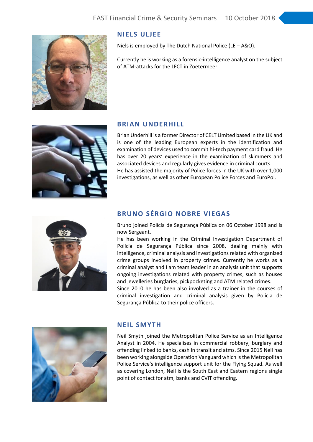

## **NIELS ULJEE**

Niels is employed by The Dutch National Police (LE – A&O).

Currently he is working as a forensic-intelligence analyst on the subject of ATM-attacks for the LFCT in Zoetermeer.



## **BRIAN UNDERHILL**

Brian Underhill is a former Director of CELT Limited based in the UK and is one of the leading European experts in the identification and examination of devices used to commit hi-tech payment card fraud. He has over 20 years' experience in the examination of skimmers and associated devices and regularly gives evidence in criminal courts. He has assisted the majority of Police forces in the UK with over 1,000 investigations, as well as other European Police Forces and EuroPol.



# **BRUNO SÉRGIO NOBRE VIEGAS**

Bruno joined Polícia de Segurança Pública on 06 October 1998 and is now Sergeant.

He has been working in the Criminal Investigation Department of Polícia de Segurança Pública since 2008, dealing mainly with intelligence, criminal analysis and investigations related with organized crime groups involved in property crimes. Currently he works as a criminal analyst and I am team leader in an analysis unit that supports ongoing investigations related with property crimes, such as houses and jewelleries burglaries, pickpocketing and ATM related crimes.

Since 2010 he has been also involved as a trainer in the courses of criminal investigation and criminal analysis given by Polícia de Segurança Pública to their police officers.



### **NEIL SMYTH**

Neil Smyth joined the Metropolitan Police Service as an Intelligence Analyst in 2004. He specialises in commercial robbery, burglary and offending linked to banks, cash in transit and atms. Since 2015 Neil has been working alongside Operation Vanguard which is the Metropolitan Police Service's intelligence support unit for the Flying Squad. As well as covering London, Neil is the South East and Eastern regions single point of contact for atm, banks and CVIT offending.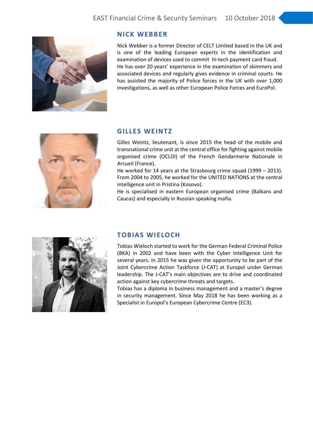

### **NICK WEBBER**

Nick Webber is a former Director of CELT Limited based in the UK and is one of the leading European experts in the identification and examination of devices used to commit hi-tech payment card fraud. He has over 20 years' experience in the examination of skimmers and associated devices and regularly gives evidence in criminal courts. He has assisted the majority of Police forces in the UK with over 1,000 investigations, as well as other European Police Forces and EuroPol.



#### **GILLES WEINTZ**

Gilles Weintz, lieutenant, is since 2015 the head of the mobile and transnational crime unit at the central office for fighting against mobile organised crime (OCLDI) of the French Gendarmerie Nationale in Arcueil (France).

He worked for 14 years at the Strasbourg crime squad (1999 – 2013). From 2004 to 2005, he worked for the UNITED NATIONS at the central intelligence unit in Pristina (Kosovo).

He is specialised in eastern European organised crime (Balkans and Caucas) and especially in Russian speaking mafia.



#### **TOBIAS WIELOCH**

Tobias Wieloch started to work for the German Federal Criminal Police (BKA) in 2002 and have been with the Cyber Intelligence Unit for several years. In 2015 he was given the opportunity to be part of the Joint Cybercrime Action Taskforce (J-CAT) at Europol under German leadership. The J-CAT's main objectives are to drive and coordinated action against key cybercrime threats and targets.

Tobias has a diploma in business management and a master's degree in security management. Since May 2018 he has been working as a Specialist in Europol's European Cybercrime Centre (EC3).